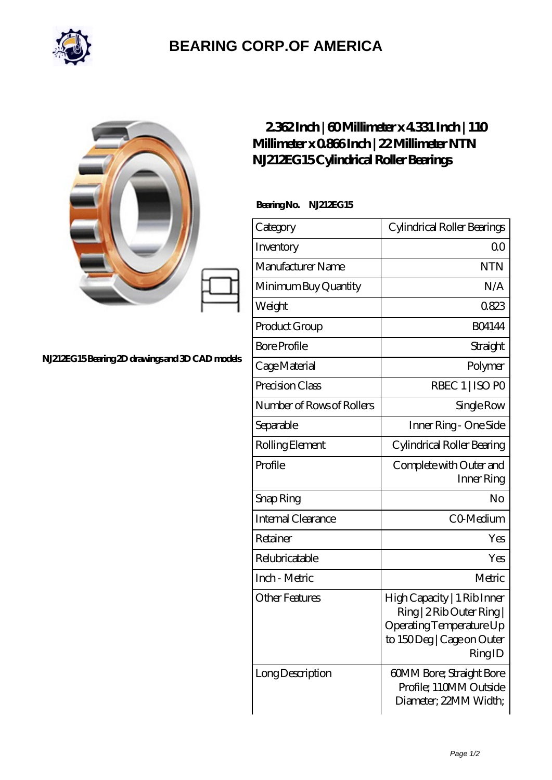

## **[BEARING CORP.OF AMERICA](https://bluemondayreview.com)**

## **[NJ212EG15 Bearing 2D drawings and 3D CAD models](https://bluemondayreview.com/pic-174839.html)**

## **[2.362 Inch | 60 Millimeter x 4.331 Inch | 110](https://bluemondayreview.com/af-174839-ntn-nj212eg15-cylindrical-roller-bearings.html) [Millimeter x 0.866 Inch | 22 Millimeter NTN](https://bluemondayreview.com/af-174839-ntn-nj212eg15-cylindrical-roller-bearings.html) [NJ212EG15 Cylindrical Roller Bearings](https://bluemondayreview.com/af-174839-ntn-nj212eg15-cylindrical-roller-bearings.html)**

 **Bearing No. NJ212EG15**

| Category                  | Cylindrical Roller Bearings                                                                                                 |  |
|---------------------------|-----------------------------------------------------------------------------------------------------------------------------|--|
| Inventory                 | Q0                                                                                                                          |  |
| Manufacturer Name         | <b>NTN</b>                                                                                                                  |  |
| Minimum Buy Quantity      | N/A                                                                                                                         |  |
| Weight                    | 0823                                                                                                                        |  |
| Product Group             | <b>BO4144</b>                                                                                                               |  |
| <b>Bore Profile</b>       | Straight                                                                                                                    |  |
| Cage Material             | Polymer                                                                                                                     |  |
| Precision Class           | RBEC 1   ISO PO                                                                                                             |  |
| Number of Rows of Rollers | Single Row                                                                                                                  |  |
| Separable                 | Inner Ring - One Side                                                                                                       |  |
| Rolling Element           | Cylindrical Roller Bearing                                                                                                  |  |
| Profile                   | Complete with Outer and<br>Inner Ring                                                                                       |  |
| Snap Ring                 | No                                                                                                                          |  |
| <b>Internal Clearance</b> | CO-Medium                                                                                                                   |  |
| Retainer                  | Yes                                                                                                                         |  |
| Relubricatable            | Yes                                                                                                                         |  |
| Inch - Metric             | Metric                                                                                                                      |  |
| Other Features            | High Capacity   1 Rib Inner<br>Ring   2 Rib Outer Ring  <br>Operating Temperature Up<br>to 150Deg   Cage on Outer<br>RingID |  |
| Long Description          | 60MM Bore; Straight Bore<br>Profile; 110MM Outside<br>Diameter; 22MM Width;                                                 |  |